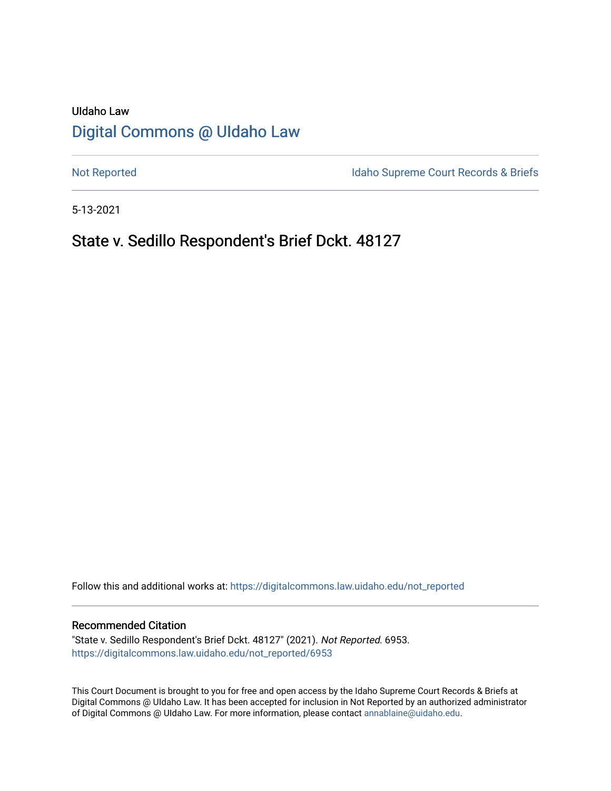# UIdaho Law [Digital Commons @ UIdaho Law](https://digitalcommons.law.uidaho.edu/)

[Not Reported](https://digitalcommons.law.uidaho.edu/not_reported) **Idaho Supreme Court Records & Briefs** 

5-13-2021

## State v. Sedillo Respondent's Brief Dckt. 48127

Follow this and additional works at: [https://digitalcommons.law.uidaho.edu/not\\_reported](https://digitalcommons.law.uidaho.edu/not_reported?utm_source=digitalcommons.law.uidaho.edu%2Fnot_reported%2F6953&utm_medium=PDF&utm_campaign=PDFCoverPages) 

#### Recommended Citation

"State v. Sedillo Respondent's Brief Dckt. 48127" (2021). Not Reported. 6953. [https://digitalcommons.law.uidaho.edu/not\\_reported/6953](https://digitalcommons.law.uidaho.edu/not_reported/6953?utm_source=digitalcommons.law.uidaho.edu%2Fnot_reported%2F6953&utm_medium=PDF&utm_campaign=PDFCoverPages)

This Court Document is brought to you for free and open access by the Idaho Supreme Court Records & Briefs at Digital Commons @ UIdaho Law. It has been accepted for inclusion in Not Reported by an authorized administrator of Digital Commons @ UIdaho Law. For more information, please contact [annablaine@uidaho.edu](mailto:annablaine@uidaho.edu).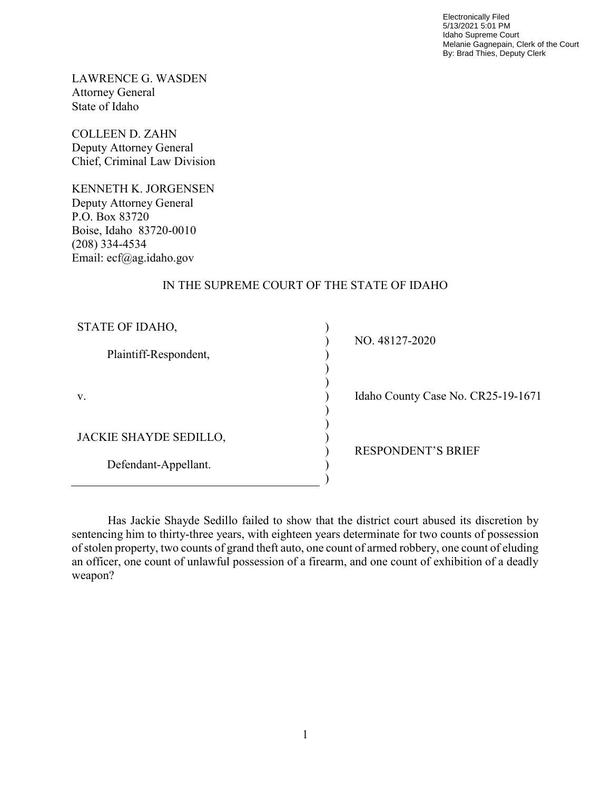Electronically Filed 5/13/2021 5:01 PM Idaho Supreme Court Melanie Gagnepain, Clerk of the Court By: Brad Thies, Deputy Clerk

LAWRENCE G. WASDEN Attorney General State of Idaho

COLLEEN D. ZAHN Deputy Attorney General Chief, Criminal Law Division

KENNETH K. JORGENSEN Deputy Attorney General P.O. Box 83720 Boise, Idaho 83720-0010 (208) 334-4534 Email: ecf@ag.idaho.gov

## IN THE SUPREME COURT OF THE STATE OF IDAHO

| STATE OF IDAHO,        |  |
|------------------------|--|
|                        |  |
| Plaintiff-Respondent,  |  |
|                        |  |
|                        |  |
| V.                     |  |
|                        |  |
|                        |  |
| JACKIE SHAYDE SEDILLO, |  |
|                        |  |
| Defendant-Appellant.   |  |
|                        |  |

NO. 48127-2020

daho County Case No. CR25-19-1671

RESPONDENT'S BRIEF

 Has Jackie Shayde Sedillo failed to show that the district court abused its discretion by sentencing him to thirty-three years, with eighteen years determinate for two counts of possession of stolen property, two counts of grand theft auto, one count of armed robbery, one count of eluding an officer, one count of unlawful possession of a firearm, and one count of exhibition of a deadly weapon?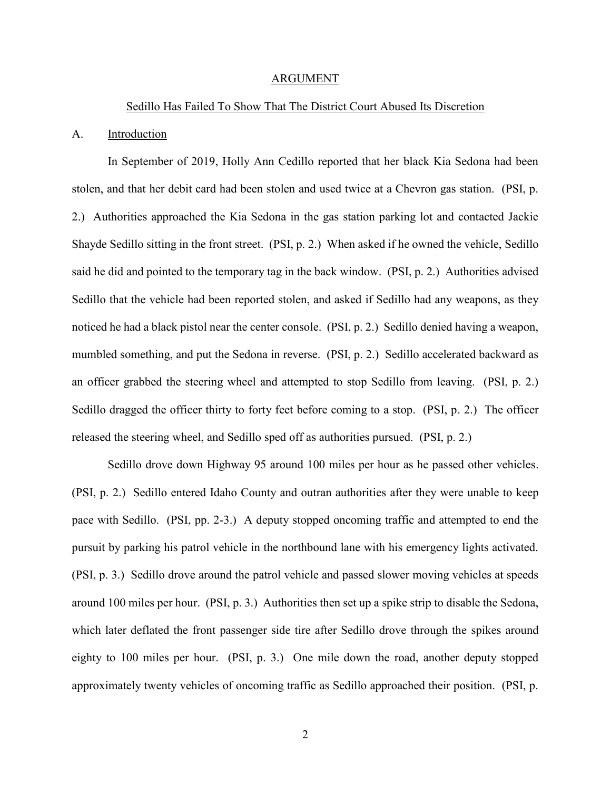#### ARGUMENT

#### Sedillo Has Failed To Show That The District Court Abused Its Discretion

#### A. Introduction

In September of 2019, Holly Ann Cedillo reported that her black Kia Sedona had been stolen, and that her debit card had been stolen and used twice at a Chevron gas station. (PSI, p. 2.) Authorities approached the Kia Sedona in the gas station parking lot and contacted Jackie Shayde Sedillo sitting in the front street. (PSI, p. 2.) When asked if he owned the vehicle, Sedillo said he did and pointed to the temporary tag in the back window. (PSI, p. 2.) Authorities advised Sedillo that the vehicle had been reported stolen, and asked if Sedillo had any weapons, as they noticed he had a black pistol near the center console. (PSI, p. 2.) Sedillo denied having a weapon, mumbled something, and put the Sedona in reverse. (PSI, p. 2.) Sedillo accelerated backward as an officer grabbed the steering wheel and attempted to stop Sedillo from leaving. (PSI, p. 2.) Sedillo dragged the officer thirty to forty feet before coming to a stop. (PSI, p. 2.) The officer released the steering wheel, and Sedillo sped off as authorities pursued. (PSI, p. 2.)

Sedillo drove down Highway 95 around 100 miles per hour as he passed other vehicles. (PSI, p. 2.) Sedillo entered Idaho County and outran authorities after they were unable to keep pace with Sedillo. (PSI, pp. 2-3.) A deputy stopped oncoming traffic and attempted to end the pursuit by parking his patrol vehicle in the northbound lane with his emergency lights activated. (PSI, p. 3.) Sedillo drove around the patrol vehicle and passed slower moving vehicles at speeds around 100 miles per hour. (PSI, p. 3.) Authorities then set up a spike strip to disable the Sedona, which later deflated the front passenger side tire after Sedillo drove through the spikes around eighty to 100 miles per hour. (PSI, p. 3.) One mile down the road, another deputy stopped approximately twenty vehicles of oncoming traffic as Sedillo approached their position. (PSI, p.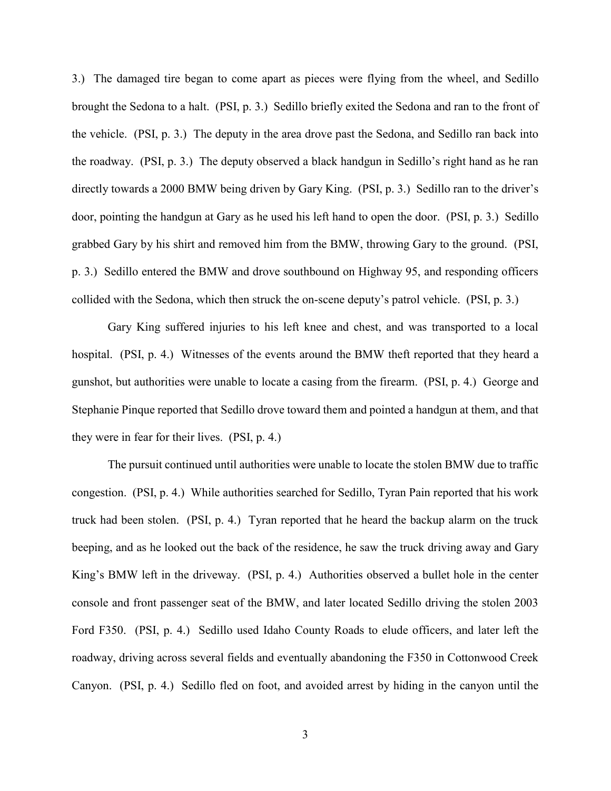3.) The damaged tire began to come apart as pieces were flying from the wheel, and Sedillo brought the Sedona to a halt. (PSI, p. 3.) Sedillo briefly exited the Sedona and ran to the front of the vehicle. (PSI, p. 3.) The deputy in the area drove past the Sedona, and Sedillo ran back into the roadway. (PSI, p. 3.) The deputy observed a black handgun in Sedillo's right hand as he ran directly towards a 2000 BMW being driven by Gary King. (PSI, p. 3.) Sedillo ran to the driver's door, pointing the handgun at Gary as he used his left hand to open the door. (PSI, p. 3.) Sedillo grabbed Gary by his shirt and removed him from the BMW, throwing Gary to the ground. (PSI, p. 3.) Sedillo entered the BMW and drove southbound on Highway 95, and responding officers collided with the Sedona, which then struck the on-scene deputy's patrol vehicle. (PSI, p. 3.)

Gary King suffered injuries to his left knee and chest, and was transported to a local hospital. (PSI, p. 4.) Witnesses of the events around the BMW theft reported that they heard a gunshot, but authorities were unable to locate a casing from the firearm. (PSI, p. 4.) George and Stephanie Pinque reported that Sedillo drove toward them and pointed a handgun at them, and that they were in fear for their lives. (PSI, p. 4.)

The pursuit continued until authorities were unable to locate the stolen BMW due to traffic congestion. (PSI, p. 4.) While authorities searched for Sedillo, Tyran Pain reported that his work truck had been stolen. (PSI, p. 4.) Tyran reported that he heard the backup alarm on the truck beeping, and as he looked out the back of the residence, he saw the truck driving away and Gary King's BMW left in the driveway. (PSI, p. 4.) Authorities observed a bullet hole in the center console and front passenger seat of the BMW, and later located Sedillo driving the stolen 2003 Ford F350. (PSI, p. 4.) Sedillo used Idaho County Roads to elude officers, and later left the roadway, driving across several fields and eventually abandoning the F350 in Cottonwood Creek Canyon. (PSI, p. 4.) Sedillo fled on foot, and avoided arrest by hiding in the canyon until the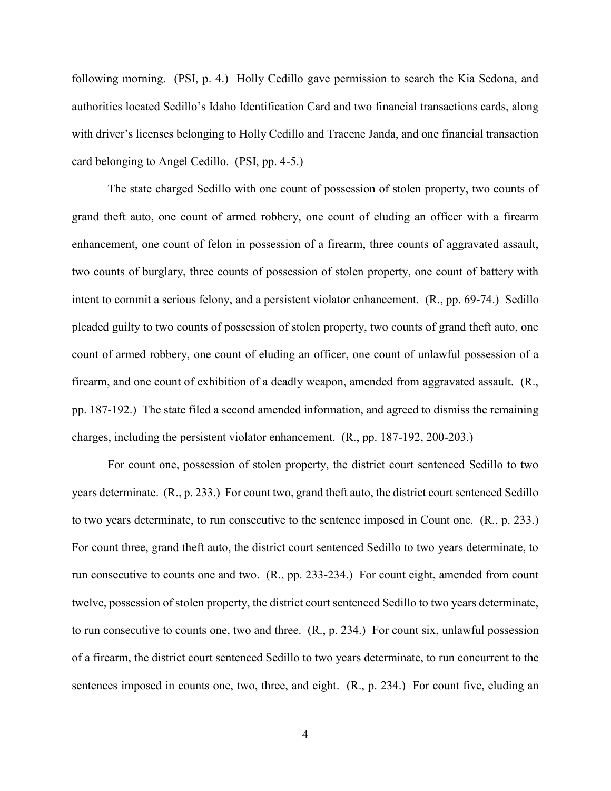following morning. (PSI, p. 4.) Holly Cedillo gave permission to search the Kia Sedona, and authorities located Sedillo's Idaho Identification Card and two financial transactions cards, along with driver's licenses belonging to Holly Cedillo and Tracene Janda, and one financial transaction card belonging to Angel Cedillo. (PSI, pp. 4-5.)

The state charged Sedillo with one count of possession of stolen property, two counts of grand theft auto, one count of armed robbery, one count of eluding an officer with a firearm enhancement, one count of felon in possession of a firearm, three counts of aggravated assault, two counts of burglary, three counts of possession of stolen property, one count of battery with intent to commit a serious felony, and a persistent violator enhancement. (R., pp. 69-74.) Sedillo pleaded guilty to two counts of possession of stolen property, two counts of grand theft auto, one count of armed robbery, one count of eluding an officer, one count of unlawful possession of a firearm, and one count of exhibition of a deadly weapon, amended from aggravated assault. (R., pp. 187-192.) The state filed a second amended information, and agreed to dismiss the remaining charges, including the persistent violator enhancement. (R., pp. 187-192, 200-203.)

For count one, possession of stolen property, the district court sentenced Sedillo to two years determinate. (R., p. 233.) For count two, grand theft auto, the district court sentenced Sedillo to two years determinate, to run consecutive to the sentence imposed in Count one. (R., p. 233.) For count three, grand theft auto, the district court sentenced Sedillo to two years determinate, to run consecutive to counts one and two. (R., pp. 233-234.) For count eight, amended from count twelve, possession of stolen property, the district court sentenced Sedillo to two years determinate, to run consecutive to counts one, two and three. (R., p. 234.) For count six, unlawful possession of a firearm, the district court sentenced Sedillo to two years determinate, to run concurrent to the sentences imposed in counts one, two, three, and eight. (R., p. 234.) For count five, eluding an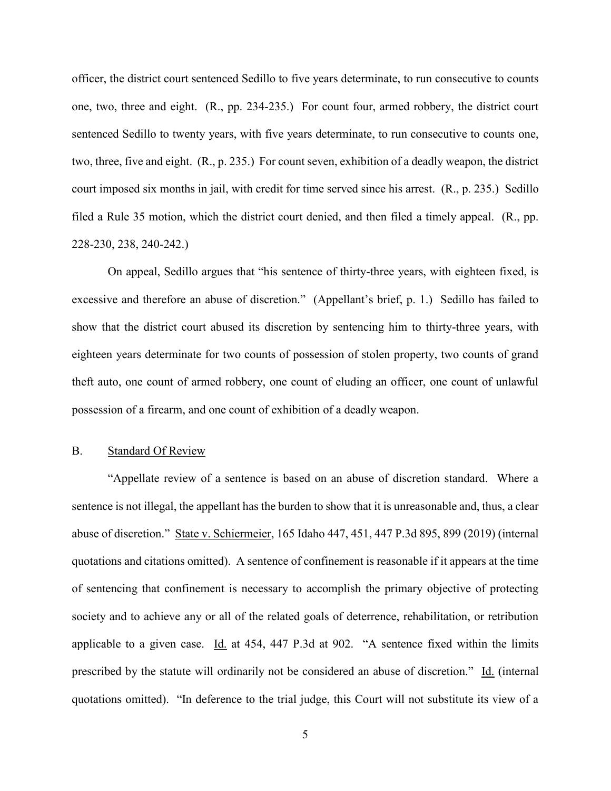officer, the district court sentenced Sedillo to five years determinate, to run consecutive to counts one, two, three and eight. (R., pp. 234-235.) For count four, armed robbery, the district court sentenced Sedillo to twenty years, with five years determinate, to run consecutive to counts one, two, three, five and eight. (R., p. 235.) For count seven, exhibition of a deadly weapon, the district court imposed six months in jail, with credit for time served since his arrest. (R., p. 235.) Sedillo filed a Rule 35 motion, which the district court denied, and then filed a timely appeal. (R., pp. 228-230, 238, 240-242.)

On appeal, Sedillo argues that "his sentence of thirty-three years, with eighteen fixed, is excessive and therefore an abuse of discretion." (Appellant's brief, p. 1.) Sedillo has failed to show that the district court abused its discretion by sentencing him to thirty-three years, with eighteen years determinate for two counts of possession of stolen property, two counts of grand theft auto, one count of armed robbery, one count of eluding an officer, one count of unlawful possession of a firearm, and one count of exhibition of a deadly weapon.

#### B. Standard Of Review

"Appellate review of a sentence is based on an abuse of discretion standard. Where a sentence is not illegal, the appellant has the burden to show that it is unreasonable and, thus, a clear abuse of discretion." State v. Schiermeier, 165 Idaho 447, 451, 447 P.3d 895, 899 (2019) (internal quotations and citations omitted). A sentence of confinement is reasonable if it appears at the time of sentencing that confinement is necessary to accomplish the primary objective of protecting society and to achieve any or all of the related goals of deterrence, rehabilitation, or retribution applicable to a given case. Id. at  $454$ ,  $447$  P.3d at  $902$ . "A sentence fixed within the limits prescribed by the statute will ordinarily not be considered an abuse of discretion." Id. (internal quotations omitted). "In deference to the trial judge, this Court will not substitute its view of a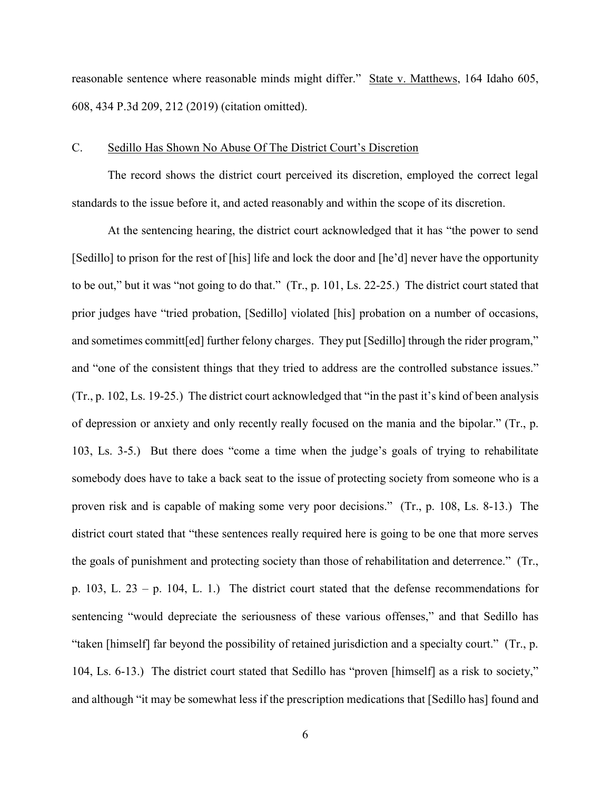reasonable sentence where reasonable minds might differ." State v. Matthews, 164 Idaho 605, 608, 434 P.3d 209, 212 (2019) (citation omitted).

#### C. Sedillo Has Shown No Abuse Of The District Court's Discretion

The record shows the district court perceived its discretion, employed the correct legal standards to the issue before it, and acted reasonably and within the scope of its discretion.

At the sentencing hearing, the district court acknowledged that it has "the power to send [Sedillo] to prison for the rest of [his] life and lock the door and [he'd] never have the opportunity to be out," but it was "not going to do that." (Tr., p. 101, Ls. 22-25.) The district court stated that prior judges have "tried probation, [Sedillo] violated [his] probation on a number of occasions, and sometimes committ [ed] further felony charges. They put [Sedillo] through the rider program," and "one of the consistent things that they tried to address are the controlled substance issues." (Tr., p. 102, Ls. 19-25.) The district court acknowledged that "in the past it's kind of been analysis of depression or anxiety and only recently really focused on the mania and the bipolar." (Tr., p. 103, Ls. 3-5.) But there does "come a time when the judge's goals of trying to rehabilitate somebody does have to take a back seat to the issue of protecting society from someone who is a proven risk and is capable of making some very poor decisions." (Tr., p. 108, Ls. 8-13.) The district court stated that "these sentences really required here is going to be one that more serves the goals of punishment and protecting society than those of rehabilitation and deterrence." (Tr., p. 103, L. 23 – p. 104, L. 1.) The district court stated that the defense recommendations for sentencing "would depreciate the seriousness of these various offenses," and that Sedillo has "taken [himself] far beyond the possibility of retained jurisdiction and a specialty court." (Tr., p. 104, Ls. 6-13.) The district court stated that Sedillo has "proven [himself] as a risk to society," and although "it may be somewhat less if the prescription medications that [Sedillo has] found and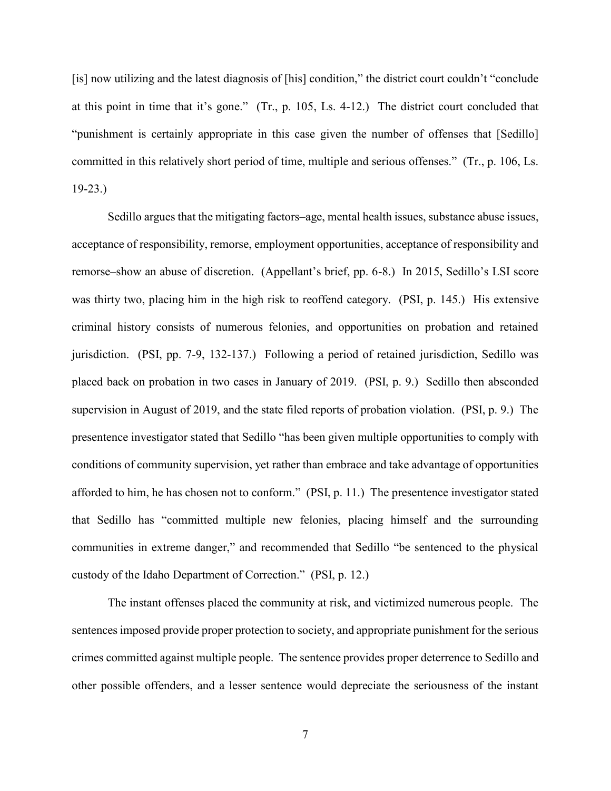[is] now utilizing and the latest diagnosis of [his] condition," the district court couldn't "conclude at this point in time that it's gone." (Tr., p. 105, Ls. 4-12.) The district court concluded that "punishment is certainly appropriate in this case given the number of offenses that [Sedillo] committed in this relatively short period of time, multiple and serious offenses." (Tr., p. 106, Ls. 19-23.)

Sedillo argues that the mitigating factors–age, mental health issues, substance abuse issues, acceptance of responsibility, remorse, employment opportunities, acceptance of responsibility and remorse–show an abuse of discretion. (Appellant's brief, pp. 6-8.) In 2015, Sedillo's LSI score was thirty two, placing him in the high risk to reoffend category. (PSI, p. 145.) His extensive criminal history consists of numerous felonies, and opportunities on probation and retained jurisdiction. (PSI, pp. 7-9, 132-137.) Following a period of retained jurisdiction, Sedillo was placed back on probation in two cases in January of 2019. (PSI, p. 9.) Sedillo then absconded supervision in August of 2019, and the state filed reports of probation violation. (PSI, p. 9.) The presentence investigator stated that Sedillo "has been given multiple opportunities to comply with conditions of community supervision, yet rather than embrace and take advantage of opportunities afforded to him, he has chosen not to conform." (PSI, p. 11.) The presentence investigator stated that Sedillo has "committed multiple new felonies, placing himself and the surrounding communities in extreme danger," and recommended that Sedillo "be sentenced to the physical custody of the Idaho Department of Correction." (PSI, p. 12.)

The instant offenses placed the community at risk, and victimized numerous people. The sentences imposed provide proper protection to society, and appropriate punishment for the serious crimes committed against multiple people. The sentence provides proper deterrence to Sedillo and other possible offenders, and a lesser sentence would depreciate the seriousness of the instant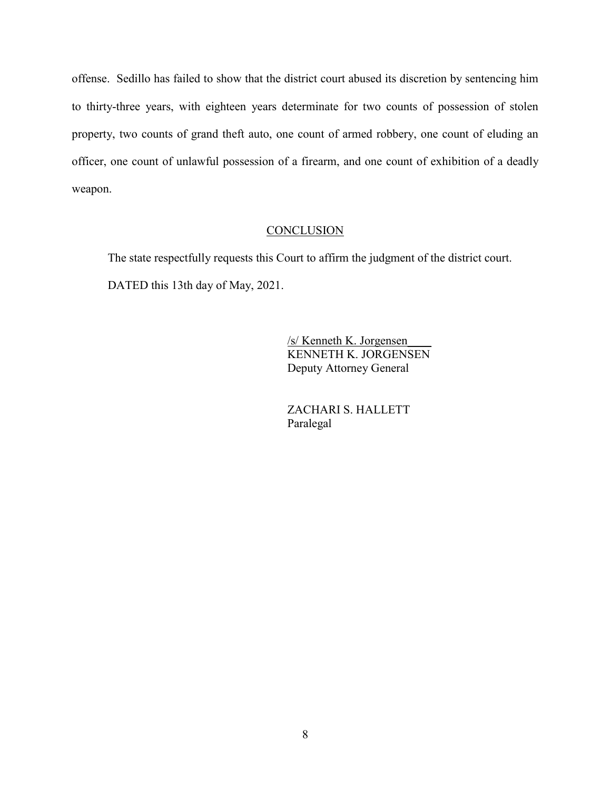offense. Sedillo has failed to show that the district court abused its discretion by sentencing him to thirty-three years, with eighteen years determinate for two counts of possession of stolen property, two counts of grand theft auto, one count of armed robbery, one count of eluding an officer, one count of unlawful possession of a firearm, and one count of exhibition of a deadly weapon.

### **CONCLUSION**

 The state respectfully requests this Court to affirm the judgment of the district court. DATED this 13th day of May, 2021.

> /s/ Kenneth K. Jorgensen\_\_\_\_ KENNETH K. JORGENSEN Deputy Attorney General

 ZACHARI S. HALLETT Paralegal